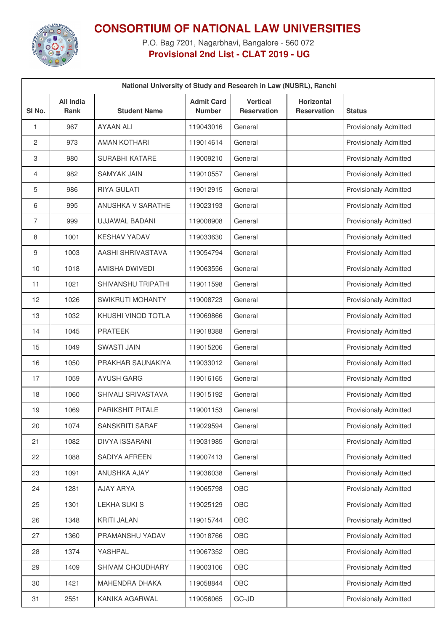

## **CONSORTIUM OF NATIONAL LAW UNIVERSITIES**

P.O. Bag 7201, Nagarbhavi, Bangalore - 560 072 **Provisional 2nd List - CLAT 2019 - UG**

| National University of Study and Research in Law (NUSRL), Ranchi |                                 |                           |                                    |                                       |                                  |                              |  |  |
|------------------------------------------------------------------|---------------------------------|---------------------------|------------------------------------|---------------------------------------|----------------------------------|------------------------------|--|--|
| SI <sub>No.</sub>                                                | <b>All India</b><br><b>Rank</b> | <b>Student Name</b>       | <b>Admit Card</b><br><b>Number</b> | <b>Vertical</b><br><b>Reservation</b> | Horizontal<br><b>Reservation</b> | <b>Status</b>                |  |  |
| 1                                                                | 967                             | <b>AYAAN ALI</b>          | 119043016                          | General                               |                                  | <b>Provisionaly Admitted</b> |  |  |
| $\overline{c}$                                                   | 973                             | <b>AMAN KOTHARI</b>       | 119014614                          | General                               |                                  | <b>Provisionaly Admitted</b> |  |  |
| 3                                                                | 980                             | <b>SURABHI KATARE</b>     | 119009210                          | General                               |                                  | <b>Provisionaly Admitted</b> |  |  |
| 4                                                                | 982                             | <b>SAMYAK JAIN</b>        | 119010557                          | General                               |                                  | <b>Provisionaly Admitted</b> |  |  |
| 5                                                                | 986                             | <b>RIYA GULATI</b>        | 119012915                          | General                               |                                  | <b>Provisionaly Admitted</b> |  |  |
| 6                                                                | 995                             | <b>ANUSHKA V SARATHE</b>  | 119023193                          | General                               |                                  | <b>Provisionaly Admitted</b> |  |  |
| $\overline{7}$                                                   | 999                             | UJJAWAL BADANI            | 119008908                          | General                               |                                  | <b>Provisionaly Admitted</b> |  |  |
| 8                                                                | 1001                            | <b>KESHAV YADAV</b>       | 119033630                          | General                               |                                  | <b>Provisionaly Admitted</b> |  |  |
| 9                                                                | 1003                            | AASHI SHRIVASTAVA         | 119054794                          | General                               |                                  | <b>Provisionaly Admitted</b> |  |  |
| 10                                                               | 1018                            | AMISHA DWIVEDI            | 119063556                          | General                               |                                  | <b>Provisionaly Admitted</b> |  |  |
| 11                                                               | 1021                            | <b>SHIVANSHU TRIPATHI</b> | 119011598                          | General                               |                                  | <b>Provisionaly Admitted</b> |  |  |
| 12                                                               | 1026                            | SWIKRUTI MOHANTY          | 119008723                          | General                               |                                  | <b>Provisionaly Admitted</b> |  |  |
| 13                                                               | 1032                            | KHUSHI VINOD TOTLA        | 119069866                          | General                               |                                  | <b>Provisionaly Admitted</b> |  |  |
| 14                                                               | 1045                            | <b>PRATEEK</b>            | 119018388                          | General                               |                                  | Provisionaly Admitted        |  |  |
| 15                                                               | 1049                            | <b>SWASTI JAIN</b>        | 119015206                          | General                               |                                  | <b>Provisionaly Admitted</b> |  |  |
| 16                                                               | 1050                            | PRAKHAR SAUNAKIYA         | 119033012                          | General                               |                                  | <b>Provisionaly Admitted</b> |  |  |
| 17                                                               | 1059                            | <b>AYUSH GARG</b>         | 119016165                          | General                               |                                  | Provisionaly Admitted        |  |  |
| 18                                                               | 1060                            | SHIVALI SRIVASTAVA        | 119015192                          | General                               |                                  | <b>Provisionaly Admitted</b> |  |  |
| 19                                                               | 1069                            | <b>PARIKSHIT PITALE</b>   | 119001153                          | General                               |                                  | <b>Provisionaly Admitted</b> |  |  |
| 20                                                               | 1074                            | SANSKRITI SARAF           | 119029594                          | General                               |                                  | <b>Provisionaly Admitted</b> |  |  |
| 21                                                               | 1082                            | <b>DIVYA ISSARANI</b>     | 119031985                          | General                               |                                  | <b>Provisionaly Admitted</b> |  |  |
| 22                                                               | 1088                            | SADIYA AFREEN             | 119007413                          | General                               |                                  | <b>Provisionaly Admitted</b> |  |  |
| 23                                                               | 1091                            | ANUSHKA AJAY              | 119036038                          | General                               |                                  | <b>Provisionaly Admitted</b> |  |  |
| 24                                                               | 1281                            | AJAY ARYA                 | 119065798                          | OBC                                   |                                  | <b>Provisionaly Admitted</b> |  |  |
| 25                                                               | 1301                            | <b>LEKHA SUKI S</b>       | 119025129                          | OBC                                   |                                  | <b>Provisionaly Admitted</b> |  |  |
| 26                                                               | 1348                            | KRITI JALAN               | 119015744                          | OBC                                   |                                  | <b>Provisionaly Admitted</b> |  |  |
| 27                                                               | 1360                            | PRAMANSHU YADAV           | 119018766                          | OBC                                   |                                  | <b>Provisionaly Admitted</b> |  |  |
| 28                                                               | 1374                            | YASHPAL                   | 119067352                          | OBC                                   |                                  | <b>Provisionaly Admitted</b> |  |  |
| 29                                                               | 1409                            | SHIVAM CHOUDHARY          | 119003106                          | OBC                                   |                                  | <b>Provisionaly Admitted</b> |  |  |
| 30                                                               | 1421                            | MAHENDRA DHAKA            | 119058844                          | OBC                                   |                                  | <b>Provisionaly Admitted</b> |  |  |
| 31                                                               | 2551                            | KANIKA AGARWAL            | 119056065                          | GC-JD                                 |                                  | Provisionaly Admitted        |  |  |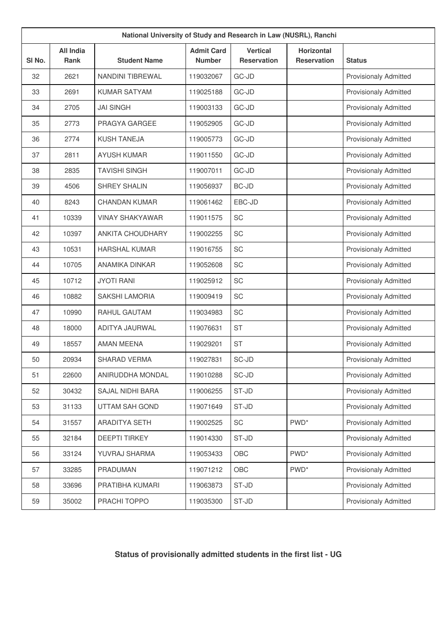| National University of Study and Research in Law (NUSRL), Ranchi |                          |                         |                                    |                                       |                                         |                              |  |
|------------------------------------------------------------------|--------------------------|-------------------------|------------------------------------|---------------------------------------|-----------------------------------------|------------------------------|--|
| SI <sub>No.</sub>                                                | <b>All India</b><br>Rank | <b>Student Name</b>     | <b>Admit Card</b><br><b>Number</b> | <b>Vertical</b><br><b>Reservation</b> | <b>Horizontal</b><br><b>Reservation</b> | <b>Status</b>                |  |
| 32                                                               | 2621                     | <b>NANDINI TIBREWAL</b> | 119032067                          | GC-JD                                 |                                         | <b>Provisionaly Admitted</b> |  |
| 33                                                               | 2691                     | <b>KUMAR SATYAM</b>     | 119025188                          | GC-JD                                 |                                         | <b>Provisionaly Admitted</b> |  |
| 34                                                               | 2705                     | <b>JAI SINGH</b>        | 119003133                          | GC-JD                                 |                                         | <b>Provisionaly Admitted</b> |  |
| 35                                                               | 2773                     | PRAGYA GARGEE           | 119052905                          | GC-JD                                 |                                         | <b>Provisionaly Admitted</b> |  |
| 36                                                               | 2774                     | <b>KUSH TANEJA</b>      | 119005773                          | GC-JD                                 |                                         | <b>Provisionaly Admitted</b> |  |
| 37                                                               | 2811                     | <b>AYUSH KUMAR</b>      | 119011550                          | GC-JD                                 |                                         | <b>Provisionaly Admitted</b> |  |
| 38                                                               | 2835                     | <b>TAVISHI SINGH</b>    | 119007011                          | GC-JD                                 |                                         | <b>Provisionaly Admitted</b> |  |
| 39                                                               | 4506                     | <b>SHREY SHALIN</b>     | 119056937                          | <b>BC-JD</b>                          |                                         | <b>Provisionaly Admitted</b> |  |
| 40                                                               | 8243                     | <b>CHANDAN KUMAR</b>    | 119061462                          | EBC-JD                                |                                         | <b>Provisionaly Admitted</b> |  |
| 41                                                               | 10339                    | <b>VINAY SHAKYAWAR</b>  | 119011575                          | SC                                    |                                         | <b>Provisionaly Admitted</b> |  |
| 42                                                               | 10397                    | <b>ANKITA CHOUDHARY</b> | 119002255                          | SC                                    |                                         | <b>Provisionaly Admitted</b> |  |
| 43                                                               | 10531                    | <b>HARSHAL KUMAR</b>    | 119016755                          | SC                                    |                                         | <b>Provisionaly Admitted</b> |  |
| 44                                                               | 10705                    | ANAMIKA DINKAR          | 119052608                          | SC                                    |                                         | <b>Provisionaly Admitted</b> |  |
| 45                                                               | 10712                    | <b>JYOTI RANI</b>       | 119025912                          | SC                                    |                                         | <b>Provisionaly Admitted</b> |  |
| 46                                                               | 10882                    | <b>SAKSHI LAMORIA</b>   | 119009419                          | SC                                    |                                         | <b>Provisionaly Admitted</b> |  |
| 47                                                               | 10990                    | RAHUL GAUTAM            | 119034983                          | SC                                    |                                         | <b>Provisionaly Admitted</b> |  |
| 48                                                               | 18000                    | ADITYA JAURWAL          | 119076631                          | <b>ST</b>                             |                                         | <b>Provisionaly Admitted</b> |  |
| 49                                                               | 18557                    | <b>AMAN MEENA</b>       | 119029201                          | <b>ST</b>                             |                                         | <b>Provisionaly Admitted</b> |  |
| 50                                                               | 20934                    | <b>SHARAD VERMA</b>     | 119027831                          | SC-JD                                 |                                         | <b>Provisionaly Admitted</b> |  |
| 51                                                               | 22600                    | ANIRUDDHA MONDAL        | 119010288                          | SC-JD                                 |                                         | <b>Provisionaly Admitted</b> |  |
| 52                                                               | 30432                    | SAJAL NIDHI BARA        | 119006255                          | ST-JD                                 |                                         | <b>Provisionaly Admitted</b> |  |
| 53                                                               | 31133                    | <b>UTTAM SAH GOND</b>   | 119071649                          | ST-JD                                 |                                         | <b>Provisionaly Admitted</b> |  |
| 54                                                               | 31557                    | ARADITYA SETH           | 119002525                          | SC                                    | PWD <sup>*</sup>                        | <b>Provisionaly Admitted</b> |  |
| 55                                                               | 32184                    | <b>DEEPTI TIRKEY</b>    | 119014330                          | ST-JD                                 |                                         | <b>Provisionaly Admitted</b> |  |
| 56                                                               | 33124                    | YUVRAJ SHARMA           | 119053433                          | OBC                                   | PWD <sup>*</sup>                        | Provisionaly Admitted        |  |
| 57                                                               | 33285                    | PRADUMAN                | 119071212                          | OBC                                   | PWD <sup>*</sup>                        | <b>Provisionaly Admitted</b> |  |
| 58                                                               | 33696                    | PRATIBHA KUMARI         | 119063873                          | ST-JD                                 |                                         | Provisionaly Admitted        |  |
| 59                                                               | 35002                    | PRACHI TOPPO            | 119035300                          | ST-JD                                 |                                         | Provisionaly Admitted        |  |

## **Status of provisionally admitted students in the first list - UG**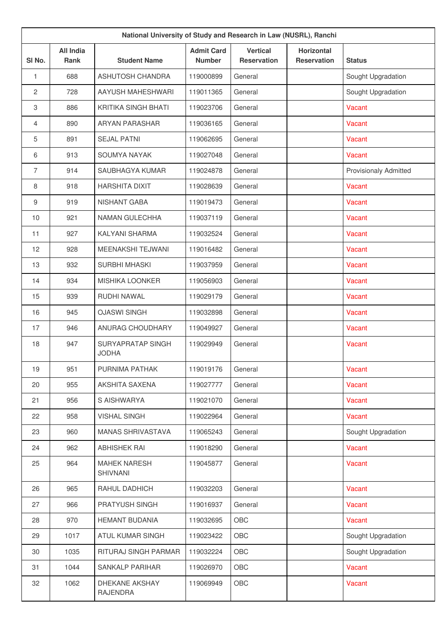|                  | National University of Study and Research in Law (NUSRL), Ranchi |                                        |                                    |                                       |                                         |                              |  |  |
|------------------|------------------------------------------------------------------|----------------------------------------|------------------------------------|---------------------------------------|-----------------------------------------|------------------------------|--|--|
| SI No.           | <b>All India</b><br>Rank                                         | <b>Student Name</b>                    | <b>Admit Card</b><br><b>Number</b> | <b>Vertical</b><br><b>Reservation</b> | <b>Horizontal</b><br><b>Reservation</b> | <b>Status</b>                |  |  |
| 1                | 688                                                              | ASHUTOSH CHANDRA                       | 119000899                          | General                               |                                         | Sought Upgradation           |  |  |
| 2                | 728                                                              | AAYUSH MAHESHWARI                      | 119011365                          | General                               |                                         | Sought Upgradation           |  |  |
| 3                | 886                                                              | KRITIKA SINGH BHATI                    | 119023706                          | General                               |                                         | Vacant                       |  |  |
| 4                | 890                                                              | <b>ARYAN PARASHAR</b>                  | 119036165                          | General                               |                                         | Vacant                       |  |  |
| 5                | 891                                                              | <b>SEJAL PATNI</b>                     | 119062695                          | General                               |                                         | Vacant                       |  |  |
| 6                | 913                                                              | SOUMYA NAYAK                           | 119027048                          | General                               |                                         | Vacant                       |  |  |
| $\overline{7}$   | 914                                                              | SAUBHAGYA KUMAR                        | 119024878                          | General                               |                                         | <b>Provisionaly Admitted</b> |  |  |
| 8                | 918                                                              | <b>HARSHITA DIXIT</b>                  | 119028639                          | General                               |                                         | Vacant                       |  |  |
| $\boldsymbol{9}$ | 919                                                              | NISHANT GABA                           | 119019473                          | General                               |                                         | Vacant                       |  |  |
| 10               | 921                                                              | <b>NAMAN GULECHHA</b>                  | 119037119                          | General                               |                                         | Vacant                       |  |  |
| 11               | 927                                                              | KALYANI SHARMA                         | 119032524                          | General                               |                                         | Vacant                       |  |  |
| 12               | 928                                                              | <b>MEENAKSHI TEJWANI</b>               | 119016482                          | General                               |                                         | Vacant                       |  |  |
| 13               | 932                                                              | <b>SURBHI MHASKI</b>                   | 119037959                          | General                               |                                         | Vacant                       |  |  |
| 14               | 934                                                              | <b>MISHIKA LOONKER</b>                 | 119056903                          | General                               |                                         | Vacant                       |  |  |
| 15               | 939                                                              | RUDHI NAWAL                            | 119029179                          | General                               |                                         | Vacant                       |  |  |
| 16               | 945                                                              | <b>OJASWI SINGH</b>                    | 119032898                          | General                               |                                         | Vacant                       |  |  |
| 17               | 946                                                              | ANURAG CHOUDHARY                       | 119049927                          | General                               |                                         | Vacant                       |  |  |
| 18               | 947                                                              | SURYAPRATAP SINGH<br><b>JODHA</b>      | 119029949                          | General                               |                                         | Vacant                       |  |  |
| 19               | 951                                                              | PURNIMA PATHAK                         | 119019176                          | General                               |                                         | Vacant                       |  |  |
| 20               | 955                                                              | AKSHITA SAXENA                         | 119027777                          | General                               |                                         | Vacant                       |  |  |
| 21               | 956                                                              | S AISHWARYA                            | 119021070                          | General                               |                                         | Vacant                       |  |  |
| 22               | 958                                                              | <b>VISHAL SINGH</b>                    | 119022964                          | General                               |                                         | Vacant                       |  |  |
| 23               | 960                                                              | <b>MANAS SHRIVASTAVA</b>               | 119065243                          | General                               |                                         | Sought Upgradation           |  |  |
| 24               | 962                                                              | <b>ABHISHEK RAI</b>                    | 119018290                          | General                               |                                         | Vacant                       |  |  |
| 25               | 964                                                              | <b>MAHEK NARESH</b><br><b>SHIVNANI</b> | 119045877                          | General                               |                                         | Vacant                       |  |  |
| 26               | 965                                                              | RAHUL DADHICH                          | 119032203                          | General                               |                                         | Vacant                       |  |  |
| 27               | 966                                                              | PRATYUSH SINGH                         | 119016937                          | General                               |                                         | Vacant                       |  |  |
| 28               | 970                                                              | HEMANT BUDANIA                         | 119032695                          | OBC                                   |                                         | Vacant                       |  |  |
| 29               | 1017                                                             | ATUL KUMAR SINGH                       | 119023422                          | OBC                                   |                                         | Sought Upgradation           |  |  |
| 30               | 1035                                                             | RITURAJ SINGH PARMAR                   | 119032224                          | OBC                                   |                                         | Sought Upgradation           |  |  |
| 31               | 1044                                                             | SANKALP PARIHAR                        | 119026970                          | OBC                                   |                                         | Vacant                       |  |  |
| 32               | 1062                                                             | DHEKANE AKSHAY<br><b>RAJENDRA</b>      | 119069949                          | OBC                                   |                                         | Vacant                       |  |  |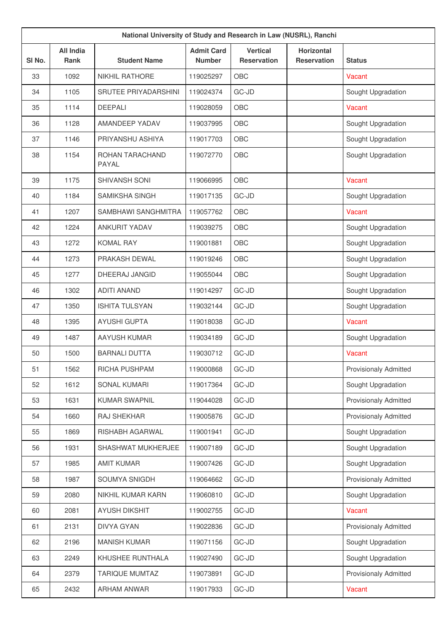| National University of Study and Research in Law (NUSRL), Ranchi |                                 |                          |                                    |                                       |                                         |                              |  |
|------------------------------------------------------------------|---------------------------------|--------------------------|------------------------------------|---------------------------------------|-----------------------------------------|------------------------------|--|
| SI <sub>No.</sub>                                                | <b>All India</b><br><b>Rank</b> | <b>Student Name</b>      | <b>Admit Card</b><br><b>Number</b> | <b>Vertical</b><br><b>Reservation</b> | <b>Horizontal</b><br><b>Reservation</b> | <b>Status</b>                |  |
| 33                                                               | 1092                            | <b>NIKHIL RATHORE</b>    | 119025297                          | <b>OBC</b>                            |                                         | Vacant                       |  |
| 34                                                               | 1105                            | SRUTEE PRIYADARSHINI     | 119024374                          | GC-JD                                 |                                         | Sought Upgradation           |  |
| 35                                                               | 1114                            | <b>DEEPALI</b>           | 119028059                          | <b>OBC</b>                            |                                         | Vacant                       |  |
| 36                                                               | 1128                            | AMANDEEP YADAV           | 119037995                          | OBC                                   |                                         | Sought Upgradation           |  |
| 37                                                               | 1146                            | PRIYANSHU ASHIYA         | 119017703                          | OBC                                   |                                         | Sought Upgradation           |  |
| 38                                                               | 1154                            | ROHAN TARACHAND<br>PAYAL | 119072770                          | OBC                                   |                                         | Sought Upgradation           |  |
| 39                                                               | 1175                            | <b>SHIVANSH SONI</b>     | 119066995                          | <b>OBC</b>                            |                                         | Vacant                       |  |
| 40                                                               | 1184                            | SAMIKSHA SINGH           | 119017135                          | GC-JD                                 |                                         | Sought Upgradation           |  |
| 41                                                               | 1207                            | SAMBHAWI SANGHMITRA      | 119057762                          | OBC                                   |                                         | Vacant                       |  |
| 42                                                               | 1224                            | <b>ANKURIT YADAV</b>     | 119039275                          | OBC                                   |                                         | Sought Upgradation           |  |
| 43                                                               | 1272                            | <b>KOMAL RAY</b>         | 119001881                          | OBC                                   |                                         | Sought Upgradation           |  |
| 44                                                               | 1273                            | PRAKASH DEWAL            | 119019246                          | OBC                                   |                                         | Sought Upgradation           |  |
| 45                                                               | 1277                            | DHEERAJ JANGID           | 119055044                          | OBC                                   |                                         | Sought Upgradation           |  |
| 46                                                               | 1302                            | <b>ADITI ANAND</b>       | 119014297                          | GC-JD                                 |                                         | Sought Upgradation           |  |
| 47                                                               | 1350                            | <b>ISHITA TULSYAN</b>    | 119032144                          | GC-JD                                 |                                         | Sought Upgradation           |  |
| 48                                                               | 1395                            | <b>AYUSHI GUPTA</b>      | 119018038                          | GC-JD                                 |                                         | Vacant                       |  |
| 49                                                               | 1487                            | <b>AAYUSH KUMAR</b>      | 119034189                          | GC-JD                                 |                                         | Sought Upgradation           |  |
| 50                                                               | 1500                            | <b>BARNALI DUTTA</b>     | 119030712                          | GC-JD                                 |                                         | Vacant                       |  |
| 51                                                               | 1562                            | RICHA PUSHPAM            | 119000868                          | GC-JD                                 |                                         | <b>Provisionaly Admitted</b> |  |
| 52                                                               | 1612                            | SONAL KUMARI             | 119017364                          | GC-JD                                 |                                         | Sought Upgradation           |  |
| 53                                                               | 1631                            | <b>KUMAR SWAPNIL</b>     | 119044028                          | $GC-JD$                               |                                         | Provisionaly Admitted        |  |
| 54                                                               | 1660                            | RAJ SHEKHAR              | 119005876                          | GC-JD                                 |                                         | Provisionaly Admitted        |  |
| 55                                                               | 1869                            | RISHABH AGARWAL          | 119001941                          | $GC-JD$                               |                                         | Sought Upgradation           |  |
| 56                                                               | 1931                            | SHASHWAT MUKHERJEE       | 119007189                          | GC-JD                                 |                                         | Sought Upgradation           |  |
| 57                                                               | 1985                            | <b>AMIT KUMAR</b>        | 119007426                          | $GC-JD$                               |                                         | Sought Upgradation           |  |
| 58                                                               | 1987                            | SOUMYA SNIGDH            | 119064662                          | GC-JD                                 |                                         | Provisionaly Admitted        |  |
| 59                                                               | 2080                            | NIKHIL KUMAR KARN        | 119060810                          | GC-JD                                 |                                         | Sought Upgradation           |  |
| 60                                                               | 2081                            | <b>AYUSH DIKSHIT</b>     | 119002755                          | GC-JD                                 |                                         | Vacant                       |  |
| 61                                                               | 2131                            | <b>DIVYA GYAN</b>        | 119022836                          | $GC-JD$                               |                                         | Provisionaly Admitted        |  |
| 62                                                               | 2196                            | <b>MANISH KUMAR</b>      | 119071156                          | GC-JD                                 |                                         | Sought Upgradation           |  |
| 63                                                               | 2249                            | KHUSHEE RUNTHALA         | 119027490                          | GC-JD                                 |                                         | Sought Upgradation           |  |
| 64                                                               | 2379                            | <b>TARIQUE MUMTAZ</b>    | 119073891                          | GC-JD                                 |                                         | Provisionaly Admitted        |  |
| 65                                                               | 2432                            | ARHAM ANWAR              | 119017933                          | $GC-JD$                               |                                         | Vacant                       |  |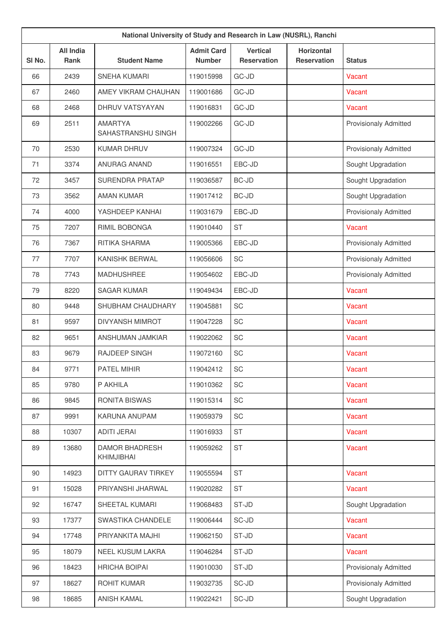|                   | National University of Study and Research in Law (NUSRL), Ranchi |                                      |                                    |                                       |                                         |                              |  |  |
|-------------------|------------------------------------------------------------------|--------------------------------------|------------------------------------|---------------------------------------|-----------------------------------------|------------------------------|--|--|
| SI <sub>No.</sub> | <b>All India</b><br><b>Rank</b>                                  | <b>Student Name</b>                  | <b>Admit Card</b><br><b>Number</b> | <b>Vertical</b><br><b>Reservation</b> | <b>Horizontal</b><br><b>Reservation</b> | <b>Status</b>                |  |  |
| 66                | 2439                                                             | <b>SNEHA KUMARI</b>                  | 119015998                          | GC-JD                                 |                                         | Vacant                       |  |  |
| 67                | 2460                                                             | AMEY VIKRAM CHAUHAN                  | 119001686                          | GC-JD                                 |                                         | Vacant                       |  |  |
| 68                | 2468                                                             | DHRUV VATSYAYAN                      | 119016831                          | GC-JD                                 |                                         | Vacant                       |  |  |
| 69                | 2511                                                             | <b>AMARTYA</b><br>SAHASTRANSHU SINGH | 119002266                          | GC-JD                                 |                                         | <b>Provisionaly Admitted</b> |  |  |
| 70                | 2530                                                             | <b>KUMAR DHRUV</b>                   | 119007324                          | GC-JD                                 |                                         | <b>Provisionaly Admitted</b> |  |  |
| 71                | 3374                                                             | <b>ANURAG ANAND</b>                  | 119016551                          | EBC-JD                                |                                         | Sought Upgradation           |  |  |
| 72                | 3457                                                             | <b>SURENDRA PRATAP</b>               | 119036587                          | BC-JD                                 |                                         | Sought Upgradation           |  |  |
| 73                | 3562                                                             | <b>AMAN KUMAR</b>                    | 119017412                          | <b>BC-JD</b>                          |                                         | Sought Upgradation           |  |  |
| 74                | 4000                                                             | YASHDEEP KANHAI                      | 119031679                          | EBC-JD                                |                                         | <b>Provisionaly Admitted</b> |  |  |
| 75                | 7207                                                             | RIMIL BOBONGA                        | 119010440                          | <b>ST</b>                             |                                         | Vacant                       |  |  |
| 76                | 7367                                                             | RITIKA SHARMA                        | 119005366                          | EBC-JD                                |                                         | <b>Provisionaly Admitted</b> |  |  |
| 77                | 7707                                                             | <b>KANISHK BERWAL</b>                | 119056606                          | SC                                    |                                         | <b>Provisionaly Admitted</b> |  |  |
| 78                | 7743                                                             | <b>MADHUSHREE</b>                    | 119054602                          | EBC-JD                                |                                         | <b>Provisionaly Admitted</b> |  |  |
| 79                | 8220                                                             | <b>SAGAR KUMAR</b>                   | 119049434                          | EBC-JD                                |                                         | Vacant                       |  |  |
| 80                | 9448                                                             | SHUBHAM CHAUDHARY                    | 119045881                          | SC                                    |                                         | Vacant                       |  |  |
| 81                | 9597                                                             | <b>DIVYANSH MIMROT</b>               | 119047228                          | SC                                    |                                         | Vacant                       |  |  |
| 82                | 9651                                                             | ANSHUMAN JAMKIAR                     | 119022062                          | <b>SC</b>                             |                                         | Vacant                       |  |  |
| 83                | 9679                                                             | <b>RAJDEEP SINGH</b>                 | 119072160                          | SC                                    |                                         | Vacant                       |  |  |
| 84                | 9771                                                             | PATEL MIHIR                          | 119042412                          | SC                                    |                                         | Vacant                       |  |  |
| 85                | 9780                                                             | P AKHILA                             | 119010362                          | SC                                    |                                         | Vacant                       |  |  |
| 86                | 9845                                                             | <b>RONITA BISWAS</b>                 | 119015314                          | SC                                    |                                         | Vacant                       |  |  |
| 87                | 9991                                                             | KARUNA ANUPAM                        | 119059379                          | SC                                    |                                         | Vacant                       |  |  |
| 88                | 10307                                                            | <b>ADITI JERAI</b>                   | 119016933                          | <b>ST</b>                             |                                         | Vacant                       |  |  |
| 89                | 13680                                                            | <b>DAMOR BHADRESH</b><br>KHIMJIBHAI  | 119059262                          | <b>ST</b>                             |                                         | Vacant                       |  |  |
| 90                | 14923                                                            | DITTY GAURAV TIRKEY                  | 119055594                          | <b>ST</b>                             |                                         | Vacant                       |  |  |
| 91                | 15028                                                            | PRIYANSHI JHARWAL                    | 119020282                          | <b>ST</b>                             |                                         | Vacant                       |  |  |
| 92                | 16747                                                            | SHEETAL KUMARI                       | 119068483                          | ST-JD                                 |                                         | Sought Upgradation           |  |  |
| 93                | 17377                                                            | SWASTIKA CHANDELE                    | 119006444                          | SC-JD                                 |                                         | Vacant                       |  |  |
| 94                | 17748                                                            | PRIYANKITA MAJHI                     | 119062150                          | ST-JD                                 |                                         | Vacant                       |  |  |
| 95                | 18079                                                            | NEEL KUSUM LAKRA                     | 119046284                          | ST-JD                                 |                                         | Vacant                       |  |  |
| 96                | 18423                                                            | <b>HRICHA BOIPAI</b>                 | 119010030                          | ST-JD                                 |                                         | Provisionaly Admitted        |  |  |
| 97                | 18627                                                            | ROHIT KUMAR                          | 119032735                          | SC-JD                                 |                                         | Provisionaly Admitted        |  |  |
| 98                | 18685                                                            | <b>ANISH KAMAL</b>                   | 119022421                          | SC-JD                                 |                                         | Sought Upgradation           |  |  |
|                   |                                                                  |                                      |                                    |                                       |                                         |                              |  |  |